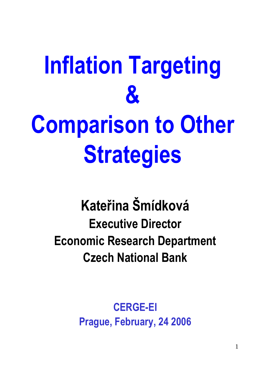# **Inflation Targeting & Comparison to Other Strategies**

### **Kateřina Šmídková Executive Director Economic Research Department Czech National Bank**

**CERGE-EI Prague, February, 24 2006**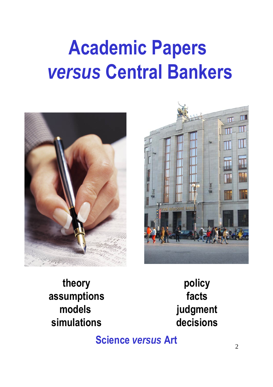## **Academic Papers** *versus* **Central Bankers**





**theory assumptions models simulations**

**policy facts judgment decisions**

**Science** *versus* **Art**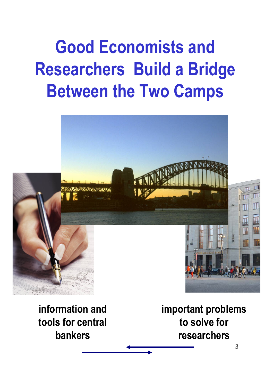## **Good Economists and Researchers Build a Bridge Between the Two Camps**

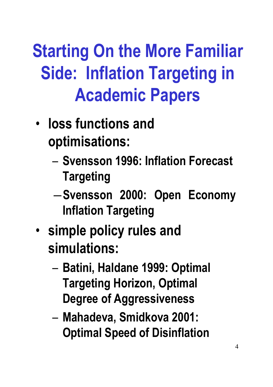## **Starting On the More Familiar Side: Inflation Targeting in Academic Papers**

- **loss functions and optimisations:**
	- **Svensson 1996: Inflation Forecast Targeting**
	- ―**Svensson 2000: Open Economy Inflation Targeting**
- **simple policy rules and simulations:**
	- **Batini, Haldane 1999: Optimal Targeting Horizon, Optimal Degree of Aggressiveness**
	- **Mahadeva, Smidkova 2001: Optimal Speed of Disinflation**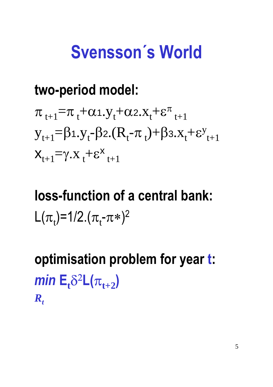### **Svensson´s World**

#### **two-period model:**

$$
\pi_{t+1} = \pi_t + \alpha_1 \cdot y_t + \alpha_2 \cdot x_t + \varepsilon_{t+1}^{\pi}
$$
\n
$$
y_{t+1} = \beta_1 \cdot y_t - \beta_2 \cdot (R_t - \pi_t) + \beta_3 \cdot x_t + \varepsilon_{t+1}^{\pi}
$$
\n
$$
x_{t+1} = \gamma \cdot x_t + \varepsilon_{t+1}^{\pi}
$$

## **loss-function of a central bank:** L( $\pi_t$ )=1/2.( $\pi_t$ - $\pi$ \*)<sup>2</sup>

**optimisation problem for year t:**  $min E_t$ <sup>82</sup>**L**( $\pi$ <sub>*t+2</sub>)*</sub>  $R_t$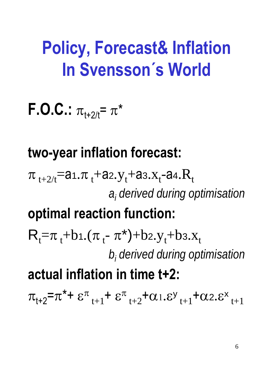### **Policy, Forecast& Inflation In Svensson´s World**

**F.O.C.:**  $\pi_{1+2/t} = \pi^*$ 

#### **two-year inflation forecast:**

 $\pi_{\mathsf{t}+2\!/\mathsf{t}}$ =a1. $\pi_{\mathsf{t}}$ +a2.y $_{\mathsf{t}}$ +a3.x $_{\mathsf{t}}$ -a4. $\rm{R}_{\mathsf{t}}$ *ai derived during optimisation*

#### **optimal reaction function:**

 $R_t = \pi_t + b_1 \cdot (\pi_t - \pi^*) + b_2 \cdot y_t + b_3 \cdot x_t$ *bi derived during optimisation*

### **actual inflation in time t+2:**

 $\pi_{t+2} = \pi^* + \varepsilon^{\pi}_{t+1} + \varepsilon^{\pi}_{t+2} + \alpha_{1} \varepsilon^{y}_{t+1} + \alpha_{2} \varepsilon^{x}_{t+1}$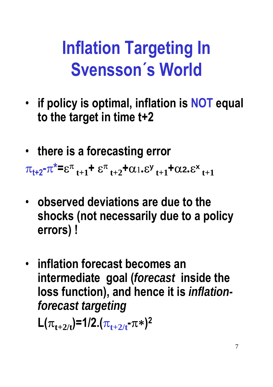## **Inflation Targeting In Svensson´s World**

- **if policy is optimal, inflation is NOT equal to the target in time t+2**
- **there is a forecasting error**

 $\pi_{t+2}$ - $\pi^* = \varepsilon^{\pi}$ <sub>t+1</sub>+  $\varepsilon^{\pi}$ <sub>t+2</sub>+ $\alpha_1$ . $\varepsilon^{\gamma}$ <sub>t+1</sub>+ $\alpha_2$ . $\varepsilon^{\kappa}$ <sub>t+1</sub>

- **observed deviations are due to the shocks (not necessarily due to a policy errors) !**
- **inflation forecast becomes an intermediate goal (***forecast* **inside the loss function), and hence it is** *inflationforecast targeting*

 $L(\pi_{t+2/t})=1/2.(\pi_{t+2/t} - \pi*)^2$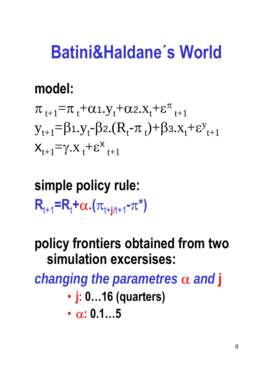### **Batini&Haldane´s World**

#### **model:**

$$
\pi_{t+1} = \pi_t + \alpha_1 \cdot y_t + \alpha_2 \cdot x_t + \varepsilon_{t+1}^{\pi}
$$
\n
$$
y_{t+1} = \beta_1 \cdot y_t - \beta_2 \cdot (R_t - \pi_t) + \beta_3 \cdot x_t + \varepsilon_{t+1}^{\pi}
$$
\n
$$
x_{t+1} = \gamma \cdot x_t + \varepsilon_{t+1}^{\pi}
$$

### **simple policy rule:**  $R_{t+1} = R_t + \alpha \cdot (\pi_{t+j/t+1} - \pi^*)$

#### **policy frontiers obtained from two simulation excersises:**

*changing the parametres* α *and* **j**

• **j: 0…16 (quarters)**

$$
\bullet\ \alpha\text{:}\ 0.1...5
$$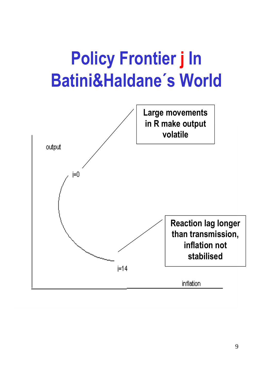## **Policy Frontier j In Batini&Haldane´s World**

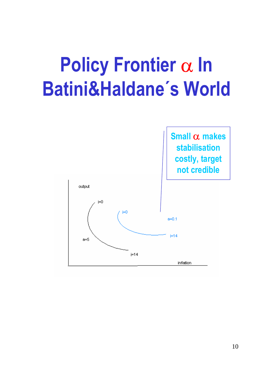## **Policy Frontier** α **In Batini&Haldane´s World**

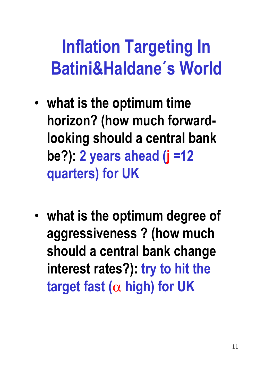## **Inflation Targeting In Batini&Haldane´s World**

- **what is the optimum time horizon? (how much forwardlooking should a central bank be?): 2 years ahead (j =12 quarters) for UK**
- **what is the optimum degree of aggressiveness ? (how much should a central bank change interest rates?): try to hit the target fast (**α **high) for UK**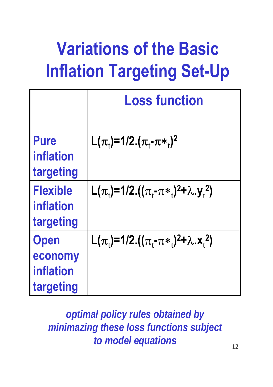## **Variations of the Basic Inflation Targeting Set-Up**

|                                                         | <b>Loss function</b>                                                                                   |
|---------------------------------------------------------|--------------------------------------------------------------------------------------------------------|
| <b>Pure</b><br><b>inflation</b><br>targeting            | L( $\pi_{i}$ )=1/2.( $\pi_{i}$ - $\pi*_{i}$ ) <sup>2</sup>                                             |
| <b>Flexible</b><br><i>inflation</i><br>targeting        | L( $\pi_{1}$ )=1/2.(( $\pi_{1}$ - $\pi*_{1}$ ) <sup>2</sup> + $\lambda$ .y <sub>1</sub> <sup>2</sup> ) |
| <b>Open</b><br>economy<br><b>inflation</b><br>targeting | L( $\pi_{1}$ )=1/2.(( $\pi_{1}$ - $\pi*_{1}$ ) <sup>2</sup> + $\lambda$ .x <sub>1</sub> <sup>2</sup> ) |

*optimal policy rules obtained by minimazing these loss functions subject to model equations*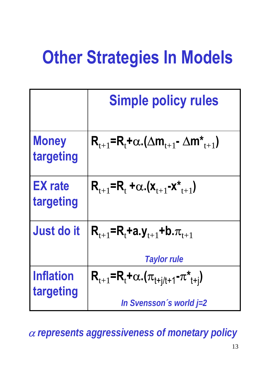## **Other Strategies In Models**

|                               | <b>Simple policy rules</b>                                                                           |
|-------------------------------|------------------------------------------------------------------------------------------------------|
| <b>Money</b><br>targeting     | $R_{t+1} = R_t + \alpha \cdot (\Delta m_{t+1} - \Delta m_{t+1}^*)$                                   |
| <b>EX rate</b><br>targeting   | $R_{t+1}$ =R <sub>t</sub> + $\alpha$ .(x <sub>t+1</sub> -x <sup>*</sup> <sub>t+1</sub> )             |
| <b>Just do it</b>             | $R_{t+1}$ =R <sub>t</sub> +a.y <sub>t+1</sub> +b. $\pi_{t+1}$<br><b>Taylor rule</b>                  |
| <b>Inflation</b><br>targeting | $R_{t+1}$ =R <sub>t</sub> + $\alpha$ .( $\pi_{t+i/t+1}$ - $\pi^*_{t+i}$ )<br>In Svensson's world j=2 |

13 <sup>α</sup> *represents aggressiveness of monetary policy*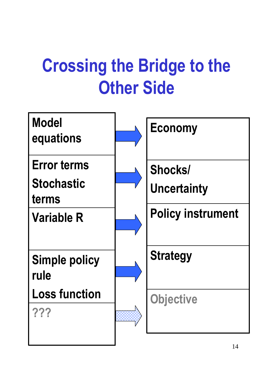## **Crossing the Bridge to the Other Side**

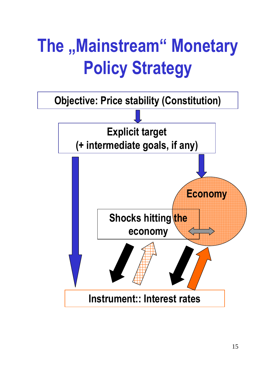## **The "Mainstream" Monetary Policy Strategy**

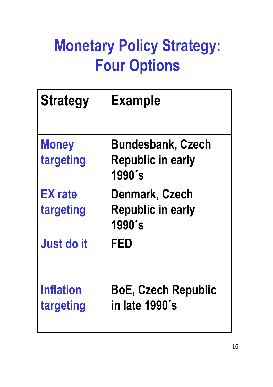### **Monetary Policy Strategy: Four Options**

| <b>Strategy</b>             | <b>Example</b>                                                 |
|-----------------------------|----------------------------------------------------------------|
| <b>Money</b><br>targeting   | <b>Bundesbank, Czech</b><br><b>Republic in early</b><br>1990's |
| <b>EX</b> rate<br>targeting | Denmark, Czech<br><b>Republic in early</b><br>1990's           |
| <b>Just do it</b>           | <b>FED</b>                                                     |
| Inflation<br>targeting      | <b>BoE, Czech Republic</b><br>in late 1990's                   |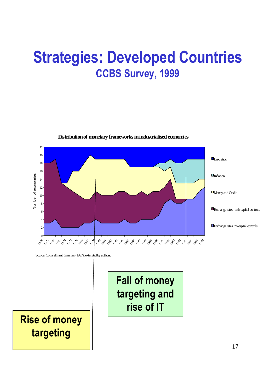#### **Strategies: Developed Countries CCBS Survey, 1999**



**Distribution of monetary frameworks in industrialised economies**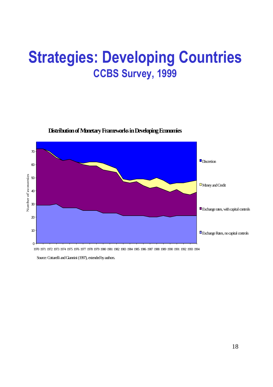#### **Strategies: Developing Countries CCBS Survey, 1999**



**Distribution of Monetary Frameworks in Developing Economies**

1970 1971 1972 1973 1974 1975 1976 1977 1978 1979 1980 1981 1982 1983 1984 1985 1986 1987 1988 1989 1990 1991 1992 1993 1994

Source: Cottarelli and Giannini (1997), extended by authors.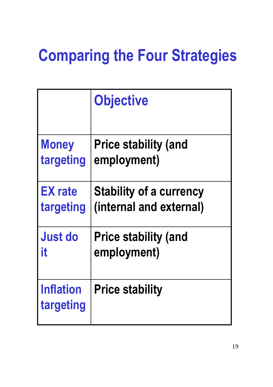|                               | <b>Objective</b>               |
|-------------------------------|--------------------------------|
| <b>Money</b>                  | <b>Price stability (and</b>    |
| targeting                     | employment)                    |
| <b>EX</b> rate                | <b>Stability of a currency</b> |
| targeting                     | (internal and external)        |
| <b>Just do</b>                | <b>Price stability (and</b>    |
| it                            | employment)                    |
| <b>Inflation</b><br>targeting | <b>Price stability</b>         |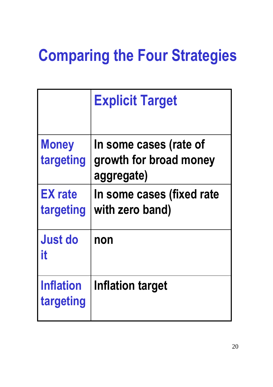|                               | <b>Explicit Target</b>                                         |
|-------------------------------|----------------------------------------------------------------|
| <b>Money</b><br>targeting     | In some cases (rate of<br>growth for broad money<br>aggregate) |
| <b>EX rate</b><br>targeting   | In some cases (fixed rate<br>with zero band)                   |
| <b>Just do</b><br>it          | non                                                            |
| <b>Inflation</b><br>targeting | Inflation target                                               |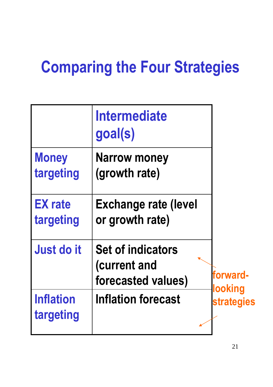|                               | <b>Intermediate</b><br>goal(s)                                 |                              |
|-------------------------------|----------------------------------------------------------------|------------------------------|
| <b>Money</b><br>targeting     | <b>Narrow money</b><br>(growth rate)                           |                              |
| <b>EX</b> rate<br>targeting   | <b>Exchange rate (level</b><br>or growth rate)                 |                              |
| Just do it                    | <b>Set of indicators</b><br>(current and<br>forecasted values) | forward-                     |
| <b>Inflation</b><br>targeting | <b>Inflation forecast</b>                                      | looking<br><b>strategies</b> |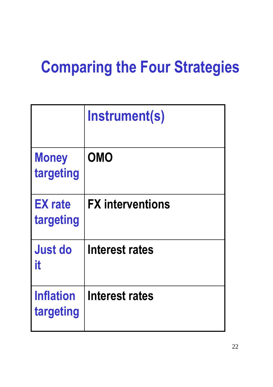|                               | Instrument(s)           |
|-------------------------------|-------------------------|
| <b>Money</b><br>targeting     | <b>OMO</b>              |
| <b>EX</b> rate<br>targeting   | <b>FX</b> interventions |
| <b>Just do</b><br>it          | <b>Interest rates</b>   |
| <b>Inflation</b><br>targeting | <b>Interest rates</b>   |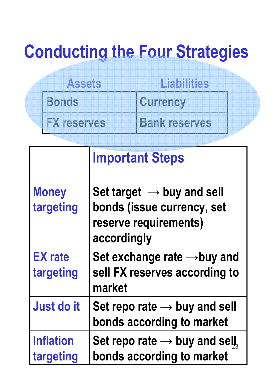### **Conducting the Four Strategies**

| Assets             | Liabilities          |
|--------------------|----------------------|
| <b>Bonds</b>       | <b>Currency</b>      |
| <b>FX reserves</b> | <b>Bank reserves</b> |

|                               | <b>Important Steps</b>                                                                                      |
|-------------------------------|-------------------------------------------------------------------------------------------------------------|
| <b>Money</b><br>targeting     | Set target $\rightarrow$ buy and sell<br>bonds (issue currency, set<br>reserve requirements)<br>accordingly |
| <b>EX</b> rate<br>targeting   | Set exchange rate $\rightarrow$ buy and<br>sell FX reserves according to<br>market                          |
| <b>Just do it</b>             | Set repo rate $\rightarrow$ buy and sell<br>bonds according to market                                       |
| <b>Inflation</b><br>targeting | Set repo rate $\rightarrow$ buy and sell,<br>bonds according to market                                      |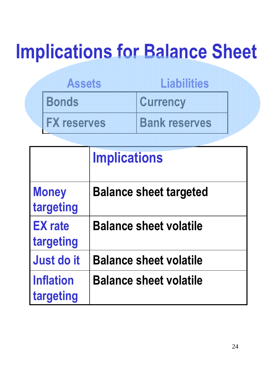## **Implications for Balance Sheet**

| Assets             | Liabilities          |
|--------------------|----------------------|
| <b>Bonds</b>       | Currency             |
| <b>FX reserves</b> | <b>Bank reserves</b> |

|                               | <b>Implications</b>           |
|-------------------------------|-------------------------------|
| <b>Money</b><br>targeting     | <b>Balance sheet targeted</b> |
| <b>EX</b> rate<br>targeting   | <b>Balance sheet volatile</b> |
| Just do it                    | <b>Balance sheet volatile</b> |
| <b>Inflation</b><br>targeting | <b>Balance sheet volatile</b> |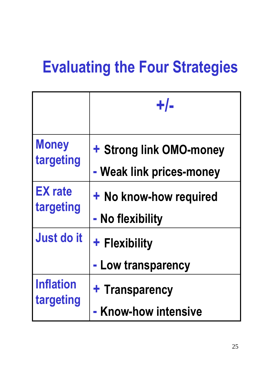### **Evaluating the Four Strategies**

|                  | $+/-$                               |
|------------------|-------------------------------------|
| <b>Money</b>     | + Strong link OMO-money             |
| targeting        | - Weak link prices-money            |
| <b>EX</b> rate   | + No know-how required              |
| targeting        | - No flexibility                    |
| Just do it       | + Flexibility<br>- Low transparency |
| <b>Inflation</b> | + Transparency                      |
| targeting        | - Know-how intensive                |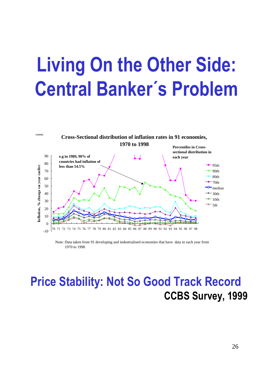## **Living On the Other Side: Central Banker´s Problem**



Note: Data taken from 91 developing and industrialised economies that have data in each year from 1970 to 1998

#### **Price Stability: Not So Good Track Record CCBS Survey, 1999**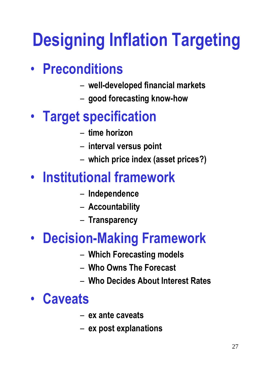## **Designing Inflation Targeting**

#### • **Preconditions**

- **well-developed financial markets**
- **good forecasting know-how**

#### • **Target specification**

- **time horizon**
- **interval versus point**
- **which price index (asset prices?)**

#### • **Institutional framework**

- **Independence**
- **Accountability**
- **Transparency**

#### • **Decision-Making Framework**

- **Which Forecasting models**
- **Who Owns The Forecast**
- **Who Decides About Interest Rates**

#### • **Caveats**

- **ex ante caveats**
- **ex post explanations**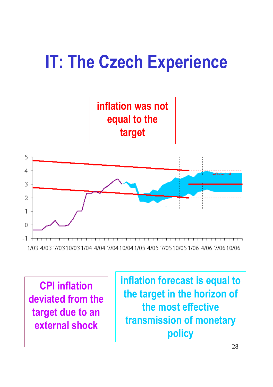### **IT: The Czech Experience**

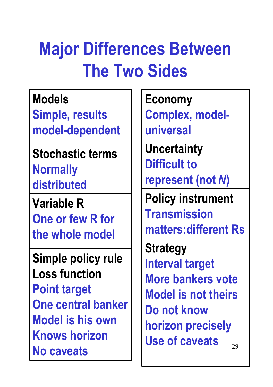## **Major Differences Between The Two Sides**

**Models**

**Simple, results model-dependent**

**Stochastic terms Normally distributed**

**Variable R One or few R for the whole model**

**Simple policy rule Loss function Point target One central banker Model is his own Knows horizon No caveats**

**Economy Complex, modeluniversal** 

**Uncertainty Difficult to represent (not** *N***)**

**Policy instrument Transmission matters:different Rs**

 $29$ **Strategy Interval target More bankers vote Model is not theirs Do not know horizon precisely Use of caveats**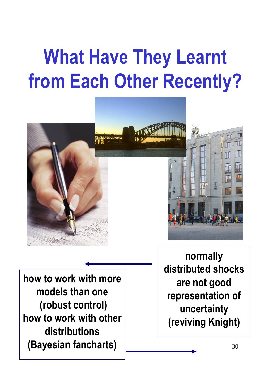## **What Have They Learnt from Each Other Recently?**



**how to work with more models than one (robust control) how to work with other distributions (Bayesian fancharts)**

**normally distributed shocks are not good representation of uncertainty (reviving Knight)**